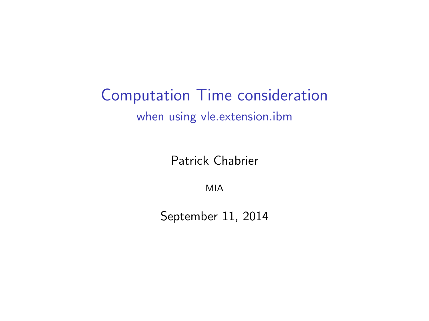# Computation Time consideration when using vle.extension.ibm

Patrick Chabrier

MIA

September 11, 2014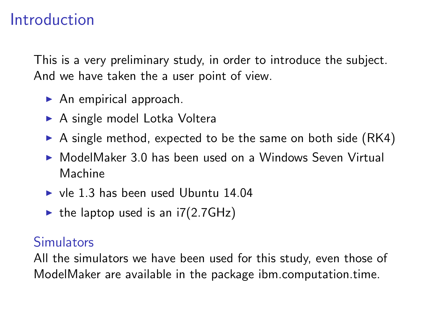# Introduction

This is a very preliminary study, in order to introduce the subject. And we have taken the a user point of view.

- $\blacktriangleright$  An empirical approach.
- $\blacktriangleright$  A single model Lotka Voltera
- $\triangleright$  A single method, expected to be the same on both side (RK4)
- $\triangleright$  ModelMaker 3.0 has been used on a Windows Seven Virtual Machine
- $\triangleright$  vle 1.3 has been used Ubuntu 14.04
- ightharpoonup the laptop used is an  $i7(2.7GHz)$

#### **Simulators**

All the simulators we have been used for this study, even those of ModelMaker are available in the package ibm.computation.time.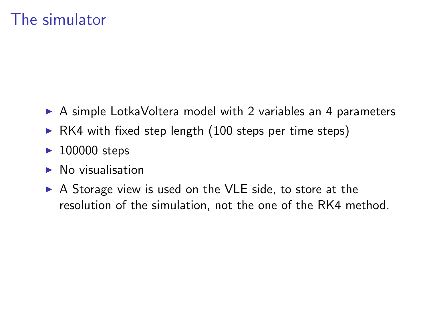# The simulator

- $\triangleright$  A simple LotkaVoltera model with 2 variables an 4 parameters
- $\triangleright$  RK4 with fixed step length (100 steps per time steps)
- $\blacktriangleright$  100000 steps
- $\blacktriangleright$  No visualisation
- $\triangleright$  A Storage view is used on the VLE side, to store at the resolution of the simulation, not the one of the RK4 method.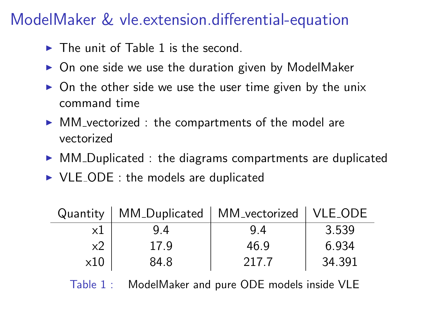# ModelMaker & vle.extension.differential-equation

- $\triangleright$  The unit of Table [1](#page-3-0) is the second.
- $\triangleright$  On one side we use the duration given by ModelMaker
- $\triangleright$  On the other side we use the user time given by the unix command time
- $\triangleright$  MM vectorized : the compartments of the model are vectorized
- $\triangleright$  MM Duplicated : the diagrams compartments are duplicated
- $\triangleright$  VLE\_ODE : the models are duplicated

| Quantity    | MM_Duplicated   MM_vectorized   VLE_ODE |       |        |
|-------------|-----------------------------------------|-------|--------|
| x1          | 9.4                                     | 9.4   | 3.539  |
| x2          | 17.9                                    | 46.9  | 6.934  |
| $\times 10$ | 84.8                                    | 217.7 | 34.391 |

<span id="page-3-0"></span>Table 1 : ModelMaker and pure ODE models inside VLE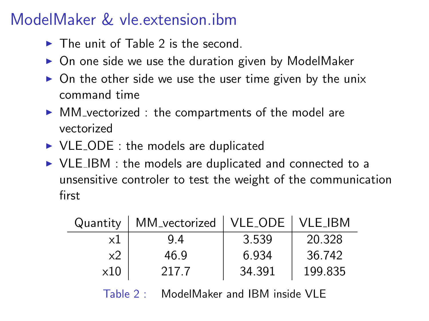# ModelMaker & vle.extension.ibm

- $\triangleright$  The unit of Table [2](#page-4-0) is the second.
- $\triangleright$  On one side we use the duration given by ModelMaker
- $\triangleright$  On the other side we use the user time given by the unix command time
- $\triangleright$  MM vectorized : the compartments of the model are vectorized
- $\triangleright$  VLE\_ODE : the models are duplicated
- $\triangleright$  VLE\_IBM : the models are duplicated and connected to a unsensitive controler to test the weight of the communication first

| Quantity    | MM_vectorized   VLE_ODE   VLE_IBM |        |         |
|-------------|-----------------------------------|--------|---------|
| x1          | 9.4                               | 3.539  | 20.328  |
| x2          | 46.9                              | 6.934  | 36.742  |
| $\times 10$ | 217.7                             | 34.391 | 199.835 |

<span id="page-4-0"></span>Table 2: ModelMaker and IBM inside VLF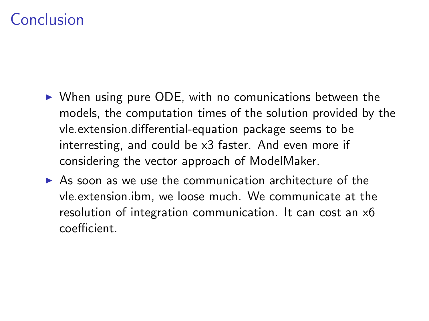# Conclusion

- $\triangleright$  When using pure ODE, with no comunications between the models, the computation times of the solution provided by the vle.extension.differential-equation package seems to be interresting, and could be x3 faster. And even more if considering the vector approach of ModelMaker.
- $\triangleright$  As soon as we use the communication architecture of the vle.extension.ibm, we loose much. We communicate at the resolution of integration communication. It can cost an x6 coefficient.